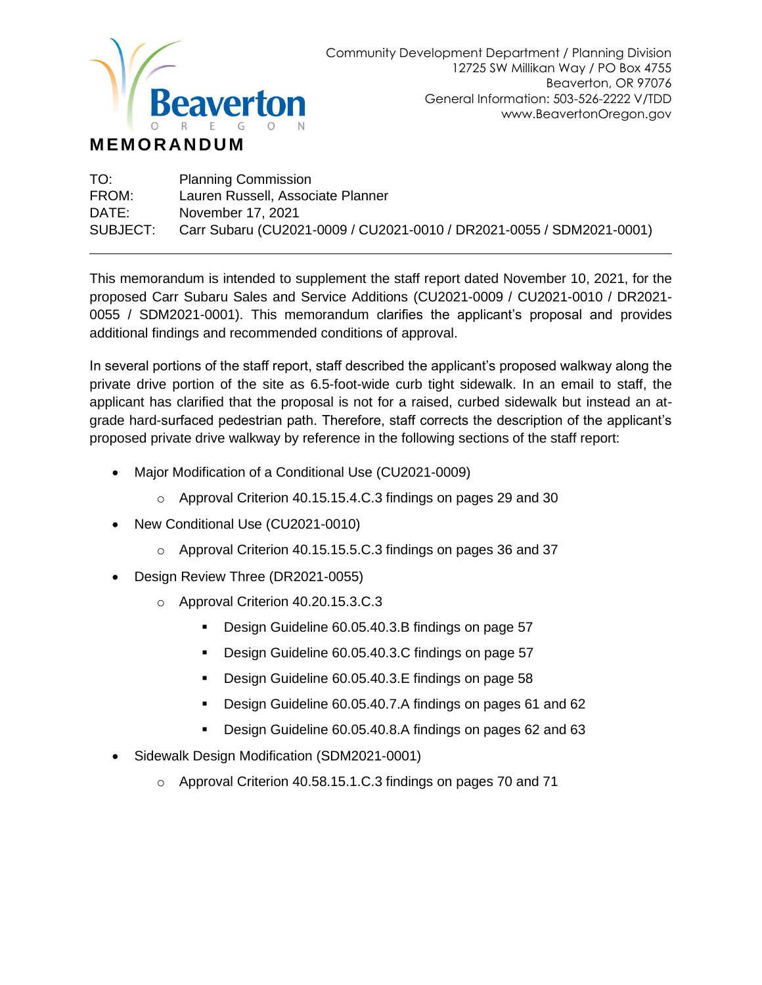

#### **M EM OR AN D U M**

| TO:      | <b>Planning Commission</b>                                           |
|----------|----------------------------------------------------------------------|
| FROM:    | Lauren Russell, Associate Planner                                    |
| DATE:    | November 17, 2021                                                    |
| SUBJECT: | Carr Subaru (CU2021-0009 / CU2021-0010 / DR2021-0055 / SDM2021-0001) |

This memorandum is intended to supplement the staff report dated November 10, 2021, for the proposed Carr Subaru Sales and Service Additions (CU2021-0009 / CU2021-0010 / DR2021- 0055 / SDM2021-0001). This memorandum clarifies the applicant's proposal and provides additional findings and recommended conditions of approval.

In several portions of the staff report, staff described the applicant's proposed walkway along the private drive portion of the site as 6.5-foot-wide curb tight sidewalk. In an email to staff, the applicant has clarified that the proposal is not for a raised, curbed sidewalk but instead an atgrade hard-surfaced pedestrian path. Therefore, staff corrects the description of the applicant's proposed private drive walkway by reference in the following sections of the staff report:

- Major Modification of a Conditional Use (CU2021-0009)
	- o Approval Criterion 40.15.15.4.C.3 findings on pages 29 and 30
- New Conditional Use (CU2021-0010)
	- o Approval Criterion 40.15.15.5.C.3 findings on pages 36 and 37
- Design Review Three (DR2021-0055)
	- o Approval Criterion 40.20.15.3.C.3
		- Design Guideline 60.05.40.3.B findings on page 57
		- Design Guideline 60.05.40.3.C findings on page 57
		- Design Guideline 60.05.40.3.E findings on page 58
		- Design Guideline 60.05.40.7.A findings on pages 61 and 62
		- Design Guideline 60.05.40.8.A findings on pages 62 and 63
- Sidewalk Design Modification (SDM2021-0001)
	- o Approval Criterion 40.58.15.1.C.3 findings on pages 70 and 71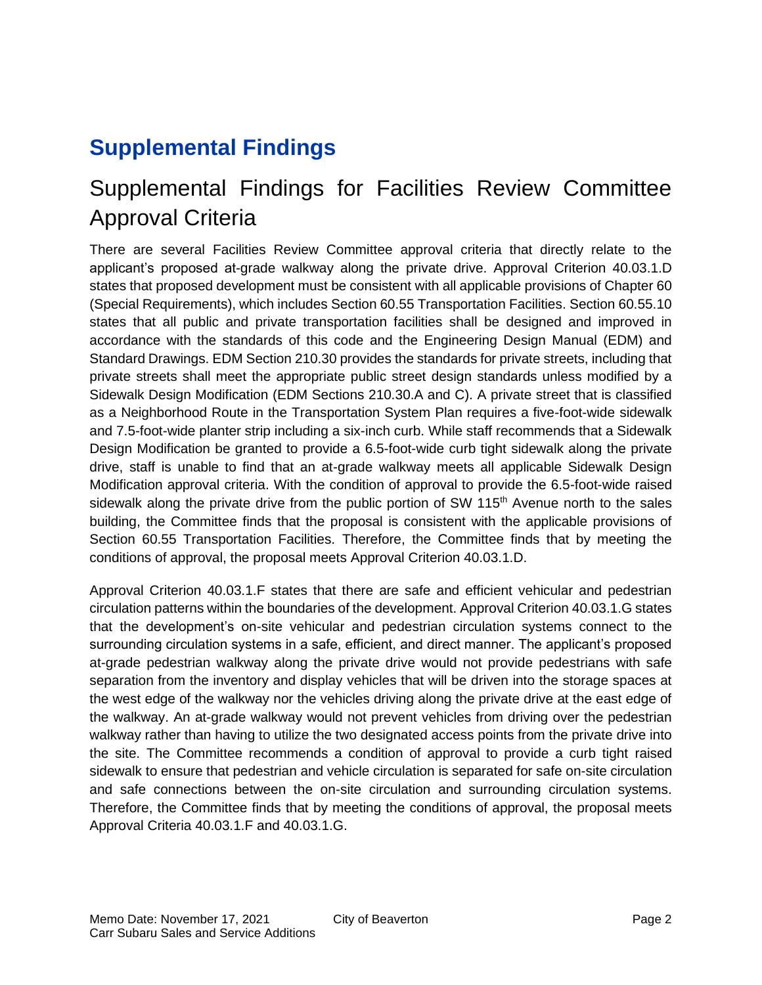# **Supplemental Findings**

### Supplemental Findings for Facilities Review Committee Approval Criteria

There are several Facilities Review Committee approval criteria that directly relate to the applicant's proposed at-grade walkway along the private drive. Approval Criterion 40.03.1.D states that proposed development must be consistent with all applicable provisions of Chapter 60 (Special Requirements), which includes Section 60.55 Transportation Facilities. Section 60.55.10 states that all public and private transportation facilities shall be designed and improved in accordance with the standards of this code and the Engineering Design Manual (EDM) and Standard Drawings. EDM Section 210.30 provides the standards for private streets, including that private streets shall meet the appropriate public street design standards unless modified by a Sidewalk Design Modification (EDM Sections 210.30.A and C). A private street that is classified as a Neighborhood Route in the Transportation System Plan requires a five-foot-wide sidewalk and 7.5-foot-wide planter strip including a six-inch curb. While staff recommends that a Sidewalk Design Modification be granted to provide a 6.5-foot-wide curb tight sidewalk along the private drive, staff is unable to find that an at-grade walkway meets all applicable Sidewalk Design Modification approval criteria. With the condition of approval to provide the 6.5-foot-wide raised sidewalk along the private drive from the public portion of SW 115<sup>th</sup> Avenue north to the sales building, the Committee finds that the proposal is consistent with the applicable provisions of Section 60.55 Transportation Facilities. Therefore, the Committee finds that by meeting the conditions of approval, the proposal meets Approval Criterion 40.03.1.D.

Approval Criterion 40.03.1.F states that there are safe and efficient vehicular and pedestrian circulation patterns within the boundaries of the development. Approval Criterion 40.03.1.G states that the development's on-site vehicular and pedestrian circulation systems connect to the surrounding circulation systems in a safe, efficient, and direct manner. The applicant's proposed at-grade pedestrian walkway along the private drive would not provide pedestrians with safe separation from the inventory and display vehicles that will be driven into the storage spaces at the west edge of the walkway nor the vehicles driving along the private drive at the east edge of the walkway. An at-grade walkway would not prevent vehicles from driving over the pedestrian walkway rather than having to utilize the two designated access points from the private drive into the site. The Committee recommends a condition of approval to provide a curb tight raised sidewalk to ensure that pedestrian and vehicle circulation is separated for safe on-site circulation and safe connections between the on-site circulation and surrounding circulation systems. Therefore, the Committee finds that by meeting the conditions of approval, the proposal meets Approval Criteria 40.03.1.F and 40.03.1.G.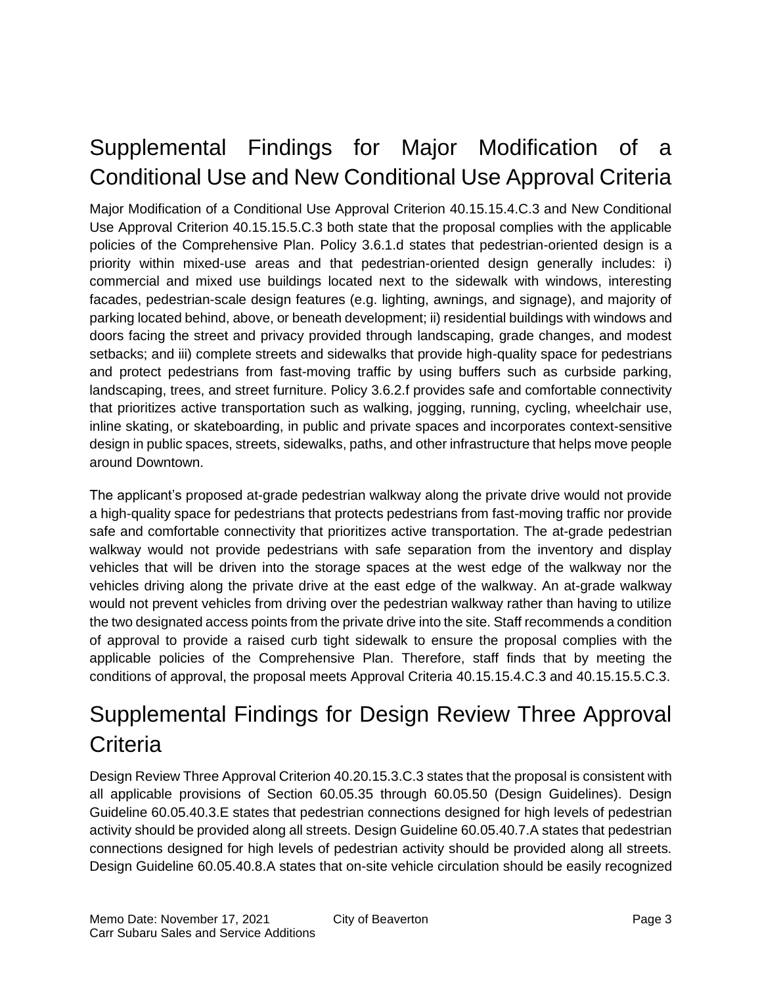# Supplemental Findings for Major Modification of a Conditional Use and New Conditional Use Approval Criteria

Major Modification of a Conditional Use Approval Criterion 40.15.15.4.C.3 and New Conditional Use Approval Criterion 40.15.15.5.C.3 both state that the proposal complies with the applicable policies of the Comprehensive Plan. Policy 3.6.1.d states that pedestrian-oriented design is a priority within mixed-use areas and that pedestrian-oriented design generally includes: i) commercial and mixed use buildings located next to the sidewalk with windows, interesting facades, pedestrian-scale design features (e.g. lighting, awnings, and signage), and majority of parking located behind, above, or beneath development; ii) residential buildings with windows and doors facing the street and privacy provided through landscaping, grade changes, and modest setbacks; and iii) complete streets and sidewalks that provide high-quality space for pedestrians and protect pedestrians from fast-moving traffic by using buffers such as curbside parking, landscaping, trees, and street furniture. Policy 3.6.2.f provides safe and comfortable connectivity that prioritizes active transportation such as walking, jogging, running, cycling, wheelchair use, inline skating, or skateboarding, in public and private spaces and incorporates context-sensitive design in public spaces, streets, sidewalks, paths, and other infrastructure that helps move people around Downtown.

The applicant's proposed at-grade pedestrian walkway along the private drive would not provide a high-quality space for pedestrians that protects pedestrians from fast-moving traffic nor provide safe and comfortable connectivity that prioritizes active transportation. The at-grade pedestrian walkway would not provide pedestrians with safe separation from the inventory and display vehicles that will be driven into the storage spaces at the west edge of the walkway nor the vehicles driving along the private drive at the east edge of the walkway. An at-grade walkway would not prevent vehicles from driving over the pedestrian walkway rather than having to utilize the two designated access points from the private drive into the site. Staff recommends a condition of approval to provide a raised curb tight sidewalk to ensure the proposal complies with the applicable policies of the Comprehensive Plan. Therefore, staff finds that by meeting the conditions of approval, the proposal meets Approval Criteria 40.15.15.4.C.3 and 40.15.15.5.C.3.

# Supplemental Findings for Design Review Three Approval **Criteria**

Design Review Three Approval Criterion 40.20.15.3.C.3 states that the proposal is consistent with all applicable provisions of Section 60.05.35 through 60.05.50 (Design Guidelines). Design Guideline 60.05.40.3.E states that pedestrian connections designed for high levels of pedestrian activity should be provided along all streets. Design Guideline 60.05.40.7.A states that pedestrian connections designed for high levels of pedestrian activity should be provided along all streets. Design Guideline 60.05.40.8.A states that on-site vehicle circulation should be easily recognized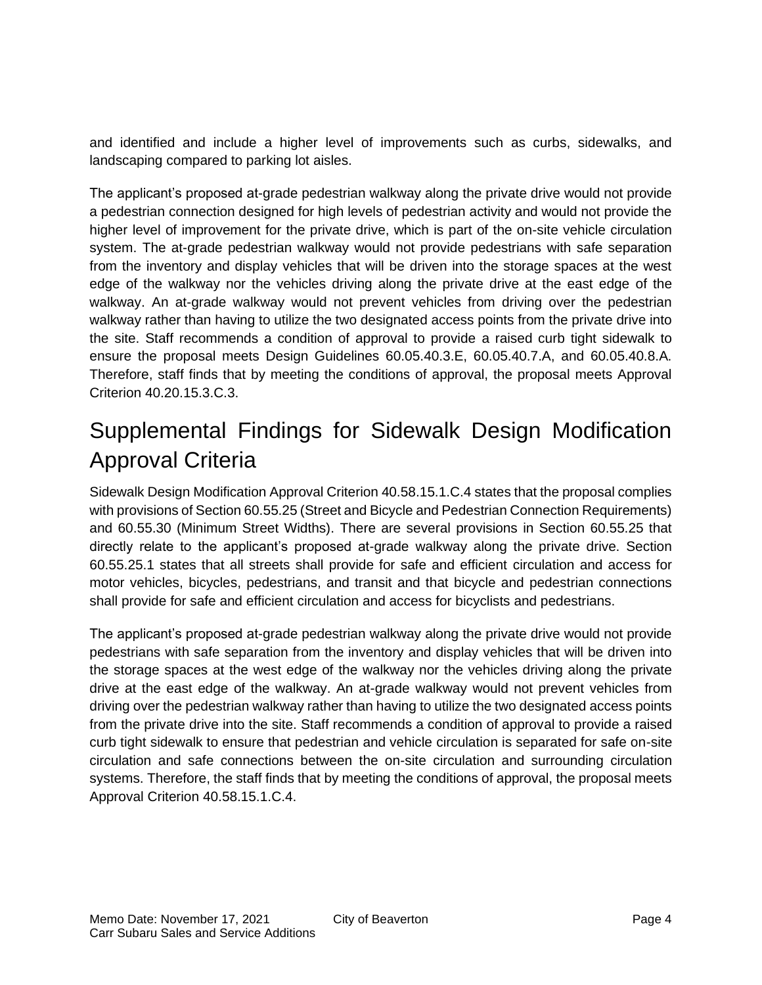and identified and include a higher level of improvements such as curbs, sidewalks, and landscaping compared to parking lot aisles.

The applicant's proposed at-grade pedestrian walkway along the private drive would not provide a pedestrian connection designed for high levels of pedestrian activity and would not provide the higher level of improvement for the private drive, which is part of the on-site vehicle circulation system. The at-grade pedestrian walkway would not provide pedestrians with safe separation from the inventory and display vehicles that will be driven into the storage spaces at the west edge of the walkway nor the vehicles driving along the private drive at the east edge of the walkway. An at-grade walkway would not prevent vehicles from driving over the pedestrian walkway rather than having to utilize the two designated access points from the private drive into the site. Staff recommends a condition of approval to provide a raised curb tight sidewalk to ensure the proposal meets Design Guidelines 60.05.40.3.E, 60.05.40.7.A, and 60.05.40.8.A. Therefore, staff finds that by meeting the conditions of approval, the proposal meets Approval Criterion 40.20.15.3.C.3.

### Supplemental Findings for Sidewalk Design Modification Approval Criteria

Sidewalk Design Modification Approval Criterion 40.58.15.1.C.4 states that the proposal complies with provisions of Section 60.55.25 (Street and Bicycle and Pedestrian Connection Requirements) and 60.55.30 (Minimum Street Widths). There are several provisions in Section 60.55.25 that directly relate to the applicant's proposed at-grade walkway along the private drive. Section 60.55.25.1 states that all streets shall provide for safe and efficient circulation and access for motor vehicles, bicycles, pedestrians, and transit and that bicycle and pedestrian connections shall provide for safe and efficient circulation and access for bicyclists and pedestrians.

The applicant's proposed at-grade pedestrian walkway along the private drive would not provide pedestrians with safe separation from the inventory and display vehicles that will be driven into the storage spaces at the west edge of the walkway nor the vehicles driving along the private drive at the east edge of the walkway. An at-grade walkway would not prevent vehicles from driving over the pedestrian walkway rather than having to utilize the two designated access points from the private drive into the site. Staff recommends a condition of approval to provide a raised curb tight sidewalk to ensure that pedestrian and vehicle circulation is separated for safe on-site circulation and safe connections between the on-site circulation and surrounding circulation systems. Therefore, the staff finds that by meeting the conditions of approval, the proposal meets Approval Criterion 40.58.15.1.C.4.